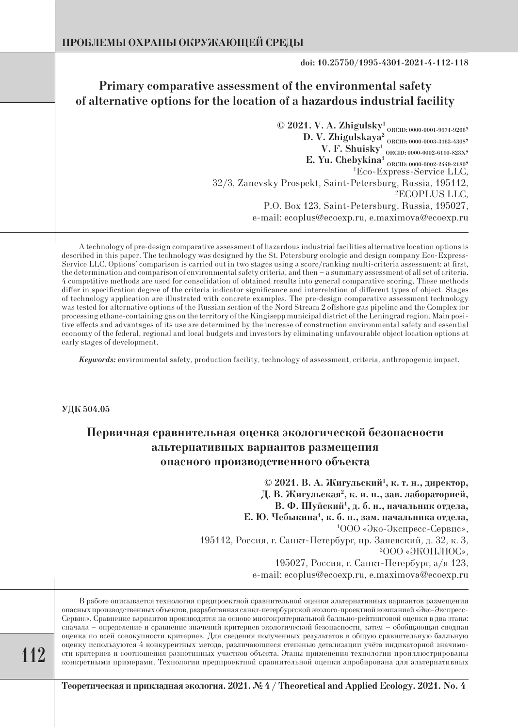**doi: 10.25750/1995-4301-2021-4-112-118**

# **Primary comparative assessment of the environmental safety of alternative options for the location of a hazardous industrial facility**

**© 2021. V. A. Zhigulsky1 ORCID: 0000-0001-9971-9266, D. V. Zhigulskaya2 ORCID: 0000-0003-3163-4308, V. F. Shuisky1 ORCID: 0000-0002-6110-823X, E. Yu. Chebykina<sup>1</sup> ORCID: 0000-0002-2449-21807**<br><sup>1</sup> Eco-Express-Service LLC Eco-Express-Service LLC, 32/3, Zanevsky Prospekt, Saint-Petersburg, Russia, 195112, 2 ECOPLUS LLC, P.O. Box 123, Saint-Petersburg, Russia, 195027, e-mail: ecoplus@ecoexp.ru, e.maximova@ecoexp.ru

A technology of pre-design comparative assessment of hazardous industrial facilities alternative location options is described in this paper. The technology was designed by the St. Petersburg ecologic and design company Eco-Express-Service LLC. Options' comparison is carried out in two stages using a score/ranking multi-criteria assessment: at first, the determination and comparison of environmental safety criteria, and then – a summary assessment of all set of criteria. 4 competitive methods are used for consolidation of obtained results into general comparative scoring. These methods differ in specification degree of the criteria indicator significance and interrelation of different types of object. Stages of technology application are illustrated with concrete examples. The pre-design comparative assessment technology was tested for alternative options of the Russian section of the Nord Stream 2 offshore gas pipeline and the Complex for processing ethane-containing gas on the territory of the Kingisepp municipal district of the Leningrad region. Main positive effects and advantages of its use are determined by the increase of construction environmental safety and essential economy of the federal, regional and local budgets and investors by eliminating unfavourable object location options at early stages of development.

*Keywords:* environmental safety, production facility, technology of assessment, criteria, anthropogenic impact.

**УДК 504.05**

# **Первичная сравнительная оценка экологической безопасности альтернативных вариантов размещения опасного производственного объекта**

**© 2021. В. А. Жигульский1 , к. т. н., директор,** Д. В. Жигульская<sup>2</sup>, к. и. н., зав. лабораторией, **В. Ф. Шуйский1 , д. б. н., начальник отдела, Е. Ю. Чебыкина1 , к. б. н., зам. начальника отдела,** 1 ООО «Эко-Экспресс-Сервис», 195112, Россия, г. Санкт-Петербург, пр. Заневский, д. 32, к. 3, 2 ООО «ЭКОПЛЮС», 195027, Россия, г. Санкт-Петербург, а/я 123,

e-mail: ecoplus@ecoexp.ru, e.maximova@ecoexp.ru

В работе описывается технология предпроектной сравнительной оценки альтернативных вариантов размещения опасных производственных объектов, разработанная санкт-петербургской эколого-проектной компанией «Эко-Экспресс-Сервис». Сравнение вариантов производится на основе многокритериальной балльно-рейтинговой оценки в два этапа: сначала – определение и сравнение значений критериев экологической безопасности, затем – обобщающая сводная оценка по всей совокупности критериев. Для сведения полученных результатов в общую сравнительную балльную оценку используются 4 конкурентных метода, различающиеся степенью детализации учёта индикаторной значимости критериев и соотношения разнотипных участков объекта. Этапы применения технологии проиллюстрированы конкретными примерами. Технология предпроектной сравнительной оценки апробирована для альтернативных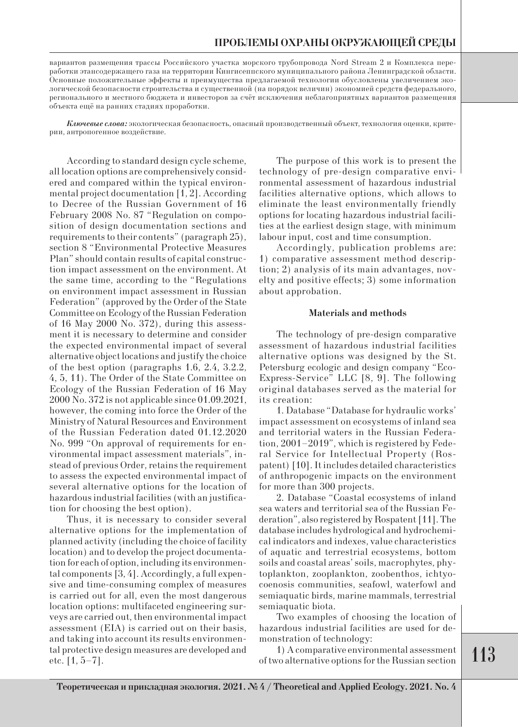вариантов размещения трассы Российского участка морского трубопровода Nord Stream 2 и Комплекса переработки этансодержащего газа на территории Кингисеппского муниципального района Ленинградской области. Основные положительные эффекты и преимущества предлагаемой технологии обусловлены увеличением экологической безопасности строительства и существенной (на порядок величин) экономией средств федерального, регионального и местного бюджета и инвесторов за счёт исключения неблагоприятных вариантов размещения объекта ещё на ранних стадиях проработки.

*Ключевые слова:* экологическая безопасность, опасный производственный объект, технология оценки, критерии, антропогенное воздействие.

According to standard design cycle scheme, all location options are comprehensively considered and compared within the typical environmental project documentation [1, 2]. According to Decree of the Russian Government of 16 February 2008 No. 87 "Regulation on composition of design documentation sections and requirements to their contents" (paragraph 25), section 8 "Environmental Protective Measures Plan" should contain results of capital construction impact assessment on the environment. At the same time, according to the "Regulations on environment impact assessment in Russian Federation" (approved by the Order of the State Committee on Ecology of the Russian Federation of 16 May 2000 No. 372), during this assessment it is necessary to determine and consider the expected environmental impact of several alternative object locations and justify the choice of the best option (paragraphs 1.6, 2.4, 3.2.2, 4, 5, 11). The Order of the State Committee on Ecology of the Russian Federation of 16 May 2000 No. 372 is not applicable since 01.09.2021, however, the coming into force the Order of the Ministry of Natural Resources and Environment of the Russian Federation dated 01.12.2020 No. 999 "On approval of requirements for environmental impact assessment materials", instead of previous Order, retains the requirement to assess the expected environmental impact of several alternative options for the location of hazardous industrial facilities (with an justification for choosing the best option).

Thus, it is necessary to consider several alternative options for the implementation of planned activity (including the choice of facility location) and to develop the project documentation for each of option, including its environmental components [3, 4]. Accordingly, a full expensive and time-consuming complex of measures is carried out for all, even the most dangerous location options: multifaceted engineering surveys are carried out, then environmental impact assessment (EIA) is carried out on their basis, and taking into account its results environmental protective design measures are developed and etc.  $[1, 5-7]$ .

The purpose of this work is to present the technology of pre-design comparative environmental assessment of hazardous industrial facilities alternative options, which allows to eliminate the least environmentally friendly options for locating hazardous industrial facilities at the earliest design stage, with minimum labour input, cost and time consumption.

Accordingly, publication problems are: 1) comparative assessment method description; 2) analysis of its main advantages, novelty and positive effects; 3) some information about approbation.

### **Materials and methods**

The technology of pre-design comparative assessment of hazardous industrial facilities alternative options was designed by the St. Petersburg ecologic and design company "Eco-Express-Service" LLC [8, 9]. The following original databases served as the material for its creation:

1. Database "Database for hydraulic works' impact assessment on ecosystems of inland sea and territorial waters in the Russian Federation, 2001–2019", which is registered by Federal Service for Intellectual Property (Rospatent) [10]. It includes detailed characteristics of anthropogenic impacts on the environment for more than 300 projects.

2. Database "Coastal ecosystems of inland sea waters and territorial sea of the Russian Federation", also registered by Rospatent [11]. The database includes hydrological and hydrochemical indicators and indexes, value characteristics of aquatic and terrestrial ecosystems, bottom soils and coastal areas' soils, macrophytes, phytoplankton, zooplankton, zoobenthos, ichtyocoenosis communities, seafowl, waterfowl and semiaquatic birds, marine mammals, terrestrial semiaquatic biota.

Two examples of choosing the location of hazardous industrial facilities are used for demonstration of technology:

1) A comparative environmental assessment of two alternative options for the Russian section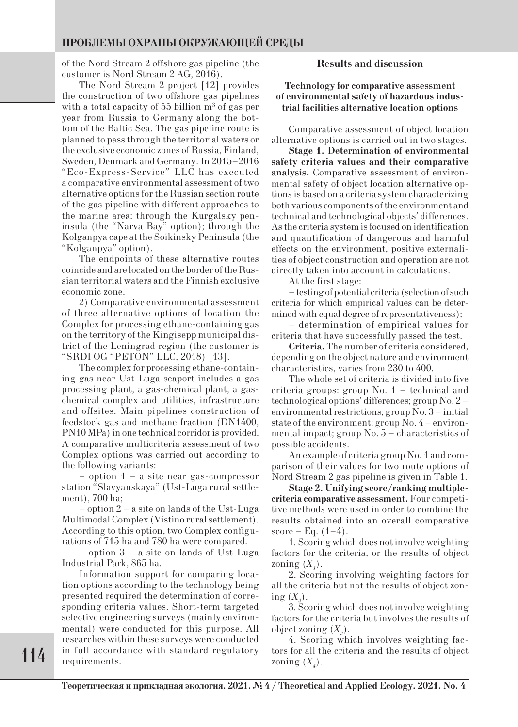# **ПРОБЛЕМЫ ОХРАНЫ ОКРУЖАЮЩЕЙ СРЕДЫ**

of the Nord Stream 2 offshore gas pipeline (the customer is Nord Stream 2 AG, 2016).

The Nord Stream 2 project [12] provides the construction of two offshore gas pipelines with a total capacity of 55 billion  $\mathrm{m}^{3}$  of gas per year from Russia to Germany along the bottom of the Baltic Sea. The gas pipeline route is planned to pass through the territorial waters or the exclusive economic zones of Russia, Finland, Sweden, Denmark and Germany. In 2015–2016 "Eco-Express-Service" LLC has executed a comparative environmental assessment of two alternative options for the Russian section route of the gas pipeline with different approaches to the marine area: through the Kurgalsky peninsula (the "Narva Bay" option); through the Kolganpya cape at the Soikinsky Peninsula (the "Kolganpya" option).

The endpoints of these alternative routes coincide and are located on the border of the Russian territorial waters and the Finnish exclusive economic zone.

2) Comparative environmental assessment of three alternative options of location the Complex for processing ethane-containing gas on the territory of the Kingisepp municipal district of the Leningrad region (the customer is "SRDI OG "PETON" LLC, 2018) [13].

The complex for processing ethane-containing gas near Ust-Luga seaport includes a gas processing plant, a gas-chemical plant, a gaschemical complex and utilities, infrastructure and offsites. Main pipelines construction of feedstock gas and methane fraction (DN1400, PN10 MPa) in one technical corridor is provided. A comparative multicriteria assessment of two Complex options was carried out according to the following variants:

– option 1 – a site near gas-compressor station "Slavyanskaya" (Ust-Luga rural settlement), 700 ha;

– option 2 – a site on lands of the Ust-Luga Multimodal Complex (Vistino rural settlement). According to this option, two Complex configurations of 715 ha and 780 ha were compared.

– option 3 – a site on lands of Ust-Luga Industrial Park, 865 ha.

Information support for comparing location options according to the technology being presented required the determination of corresponding criteria values. Short-term targeted selective engineering surveys (mainly environmental) were conducted for this purpose. All researches within these surveys were conducted in full accordance with standard regulatory requirements.

## **Results and discussion**

**Technology for comparative assessment of environmental safety of hazardous industrial facilities alternative location options**

Comparative assessment of object location alternative options is carried out in two stages.

**Stage 1. Determination of environmental safety criteria values and their comparative analysis.** Comparative assessment of environmental safety of object location alternative options is based on a criteria system characterizing both various components of the environment and technical and technological objects' differences. As the criteria system is focused on identification and quantification of dangerous and harmful effects on the environment, positive externalities of object construction and operation are not directly taken into account in calculations.

At the first stage:

– testing of potential criteria (selection of such criteria for which empirical values can be determined with equal degree of representativeness);

– determination of empirical values for criteria that have successfully passed the test.

**Criteria.** The number of criteria considered, depending on the object nature and environment characteristics, varies from 230 to 400.

The whole set of criteria is divided into five criteria groups: group No. 1 – technical and technological options' differences; group No. 2 – environmental restrictions; group No. 3 – initial state of the environment; group No. 4 – environmental impact; group No. 5 – characteristics of possible accidents.

An example of criteria group No. 1 and comparison of their values for two route options of Nord Stream 2 gas pipeline is given in Table 1.

**Stage 2. Unifying score/ranking multiplecriteria comparative assessment.** Four competitive methods were used in order to combine the results obtained into an overall comparative score – Eq.  $(1-4)$ .

1. Scoring which does not involve weighting factors for the criteria, or the results of object zoning  $(X_1)$ .

2. Scoring involving weighting factors for all the criteria but not the results of object zoning  $(X_2)$ .

3. Scoring which does not involve weighting factors for the criteria but involves the results of object zoning  $(X_{\beta})$ .

4. Scoring which involves weighting factors for all the criteria and the results of object zoning  $(X_4)$ .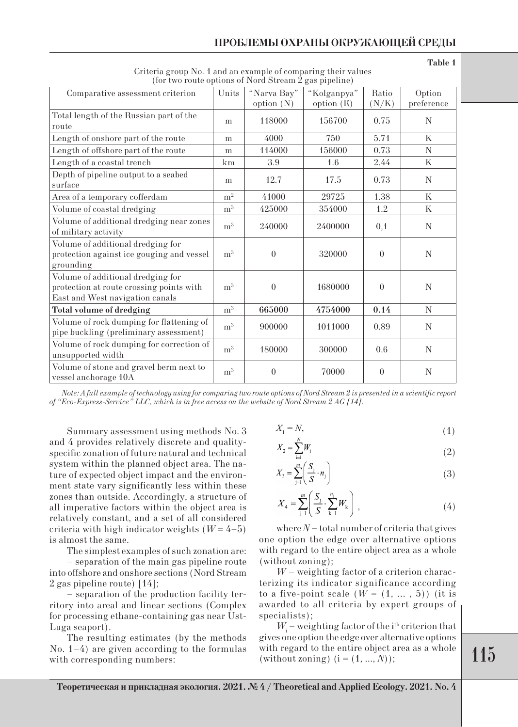| $\mu$ and the contraction of the condensation $\mu$ and $\mu$ $\mu$ $\mu$ $\mu$                                  |                |                             |                           |                |                      |  |  |  |  |
|------------------------------------------------------------------------------------------------------------------|----------------|-----------------------------|---------------------------|----------------|----------------------|--|--|--|--|
| Comparative assessment criterion                                                                                 | Units          | "Narva Bay"<br>option $(N)$ | "Kolganpya"<br>option (K) | Ratio<br>(N/K) | Option<br>preference |  |  |  |  |
| Total length of the Russian part of the<br>route                                                                 | m              | 118000                      | 156700                    | 0.75           | N                    |  |  |  |  |
| Length of onshore part of the route                                                                              | m              | 4000                        | 750                       | 5.71           | $\mathbf K$          |  |  |  |  |
| Length of offshore part of the route                                                                             | m              | 114000                      | 156000                    | 0.73           | N                    |  |  |  |  |
| Length of a coastal trench                                                                                       | km             | 3.9                         | 1.6                       | 2.44           | $\mathbf K$          |  |  |  |  |
| Depth of pipeline output to a seabed<br>surface                                                                  | m              | 12.7                        | 17.5                      | 0.73           | N                    |  |  |  |  |
| Area of a temporary cofferdam                                                                                    | $\rm m^2$      | 41000                       | 29725                     | 1.38           | K                    |  |  |  |  |
| Volume of coastal dredging                                                                                       | m <sup>3</sup> | 425000                      | 354000                    | 1.2            | $\mathbf K$          |  |  |  |  |
| Volume of additional dredging near zones<br>of military activity                                                 | m <sup>3</sup> | 240000                      | 2400000                   | 0,1            | N                    |  |  |  |  |
| Volume of additional dredging for<br>protection against ice gouging and vessel<br>grounding                      | $\rm m^3$      | $\theta$                    | 320000                    | $\theta$       | ${\rm N}$            |  |  |  |  |
| Volume of additional dredging for<br>protection at route crossing points with<br>East and West navigation canals | m <sup>3</sup> | $\theta$                    | 1680000                   | $\Omega$       | N                    |  |  |  |  |
| <b>Total volume of dredging</b>                                                                                  | m <sup>3</sup> | 665000                      | 4754000                   | 0.14           | $\mathbf N$          |  |  |  |  |
| Volume of rock dumping for flattening of<br>pipe buckling (preliminary assessment)                               | m <sup>3</sup> | 900000                      | 1011000                   | 0.89           | $\mathbf N$          |  |  |  |  |
| Volume of rock dumping for correction of<br>unsupported width                                                    | m <sup>3</sup> | 180000                      | 300000                    | 0.6            | N                    |  |  |  |  |
| Volume of stone and gravel berm next to<br>vessel anchorage 10A                                                  | m <sup>3</sup> | $\theta$                    | 70000                     | $\Omega$       | N                    |  |  |  |  |

Criteria group No. 1 and an example of comparing their values (for two route options of Nord Stream 2 gas pipeline)

**Table 1**

Summary assessment using methods No. 3 and 4 provides relatively discrete and qualityspecific zonation of future natural and technical system within the planned object area. The nature of expected object impact and the environment state vary significantly less within these zones than outside. Accordingly, a structure of all imperative factors within the object area is relatively constant, and a set of all considered criteria with high indicator weights  $(W = 4-5)$ is almost the same.

The simplest examples of such zonation are:

– separation of the main gas pipeline route into offshore and onshore sections (Nord Stream 2 gas pipeline route) [14];

– separation of the production facility territory into areal and linear sections (Complex for processing ethane-containing gas near Ust-Luga seaport).

The resulting estimates (by the methods No. 1–4) are given according to the formulas with corresponding numbers:

$$
X_1 = N,\tag{1}
$$

$$
X_2 = \sum_{i=1}^{N} W_i \tag{2}
$$

$$
X_3 = \sum_{j=1}^m \left( \frac{S_j}{S} \cdot n_j \right) \tag{3}
$$

$$
X_4 = \sum_{j=1}^{m} \left( \frac{S_j}{S} \cdot \sum_{k=1}^{n_j} W_k \right), \tag{4}
$$

where  $N$  – total number of criteria that gives one option the edge over alternative options with regard to the entire object area as a whole (without zoning);

*W* – weighting factor of a criterion characterizing its indicator significance according to a five-point scale  $(W = (1, \ldots, 5))$  (it is awarded to all criteria by expert groups of specialists);

 $W_i$  – weighting factor of the i<sup>th</sup> criterion that gives one option the edge over alternative options with regard to the entire object area as a whole (without zoning)  $(i = (1, ..., N))$ ;

*Note: A full example of technology using for comparing two route options of Nord Stream 2 is presented in a scientific report of "Eco-Express-Service" LLC, which is in free access on the website of Nord Stream 2 AG [14].*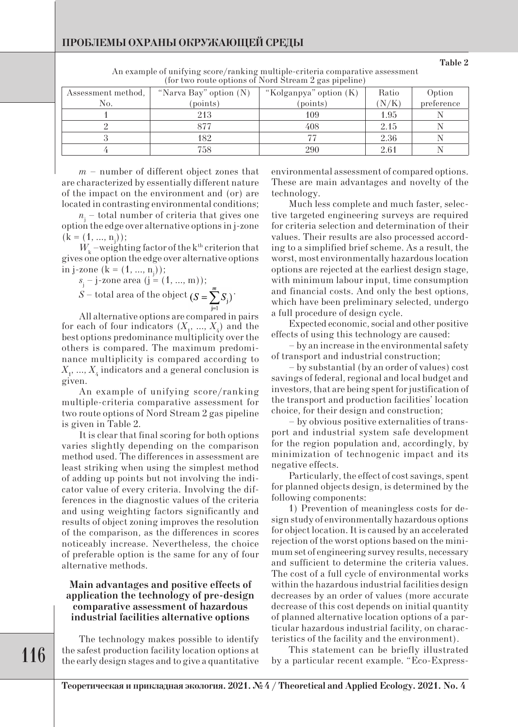| Assessment method, | "Narva Bay" option $(N)$<br>"Kolganpya" option (K) |          | Ratio | Option     |  |  |  |  |  |
|--------------------|----------------------------------------------------|----------|-------|------------|--|--|--|--|--|
| No.                | (points)                                           | (points) | N/K   | preference |  |  |  |  |  |
|                    | 213                                                | 109      | 1.95  |            |  |  |  |  |  |
|                    | 377                                                | 408      | 2.15  |            |  |  |  |  |  |
|                    | 182                                                |          | 2.36  |            |  |  |  |  |  |
|                    | 758                                                | 290      | 2.61  |            |  |  |  |  |  |

An example of unifying score/ranking multiple-criteria comparative assessment (for two route options of Nord Stream 2 gas pipeline)

*m* – number of different object zones that are characterized by essentially different nature of the impact on the environment and (or) are located in contrasting environmental conditions;

*n*j – total number of criteria that gives one option the edge over alternative options in j-zone  $(k = (1, ..., n<sub>j</sub>));$ 

 $W_{k}$  –weighting factor of the k<sup>th</sup> criterion that gives one option the edge over alternative options in j-zone  $(k = (1, ..., n)$ ;

$$
s_j
$$
 - j-zone area (j = (1, ..., m));

 $S$  – total area of the object  $(S = \sum^m S)^T$ 

All alternative options are compared in pairs for each of four indicators  $(X_1, ..., X_4)$  and the best options predominance multiplicity over the others is compared. The maximum predominance multiplicity is compared according to  $X_{1}$ , ...,  $X_{4}$  indicators and a general conclusion is given.

An example of unifying score/ranking multiple-criteria comparative assessment for two route options of Nord Stream 2 gas pipeline is given in Table 2.

It is clear that final scoring for both options varies slightly depending on the comparison method used. The differences in assessment are least striking when using the simplest method of adding up points but not involving the indicator value of every criteria. Involving the differences in the diagnostic values of the criteria and using weighting factors significantly and results of object zoning improves the resolution of the comparison, as the differences in scores noticeably increase. Nevertheless, the choice of preferable option is the same for any of four alternative methods.

## **Main advantages and positive effects of application the technology of pre-design comparative assessment of hazardous industrial facilities alternative options**

The technology makes possible to identify the safest production facility location options at the early design stages and to give a quantitative environmental assessment of compared options. These are main advantages and novelty of the technology.

Much less complete and much faster, selective targeted engineering surveys are required for criteria selection and determination of their values. Their results are also processed according to a simplified brief scheme. As a result, the worst, most environmentally hazardous location options are rejected at the earliest design stage, with minimum labour input, time consumption and financial costs. And only the best options, which have been preliminary selected, undergo a full procedure of design cycle.

Expected economic, social and other positive effects of using this technology are caused:

– by an increase in the environmental safety of transport and industrial construction;

– by substantial (by an order of values) cost savings of federal, regional and local budget and investors, that are being spent for justification of the transport and production facilities' location choice, for their design and construction;

– by obvious positive externalities of transport and industrial system safe development for the region population and, accordingly, by minimization of technogenic impact and its negative effects.

Particularly, the effect of cost savings, spent for planned objects design, is determined by the following components:

1) Prevention of meaningless costs for design study of environmentally hazardous options for object location. It is caused by an accelerated rejection of the worst options based on the minimum set of engineering survey results, necessary and sufficient to determine the criteria values. The cost of a full cycle of environmental works within the hazardous industrial facilities design decreases by an order of values (more accurate decrease of this cost depends on initial quantity of planned alternative location options of a particular hazardous industrial facility, on characteristics of the facility and the environment).

This statement can be briefly illustrated by a particular recent example. "Eco-Express-

**Теорeтическая и прикладная экология. 2021. № 4 / Theoretical and Applied Ecology. 2021. No. 4**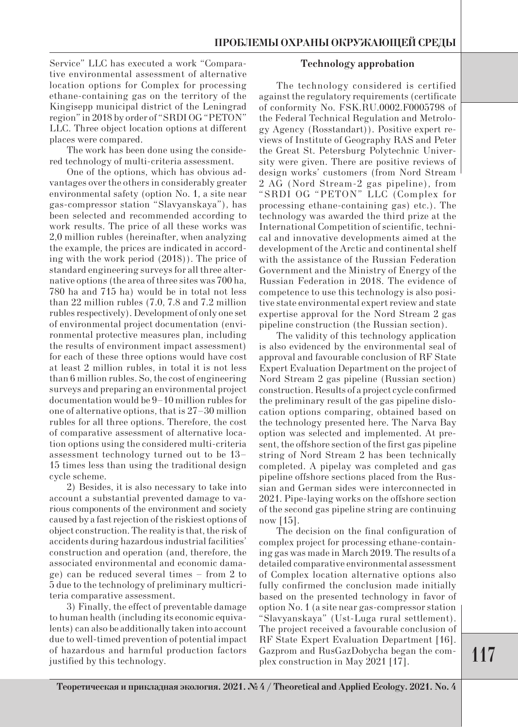Service" LLC has executed a work "Comparative environmental assessment of alternative location options for Complex for processing ethane-containing gas on the territory of the Kingisepp municipal district of the Leningrad region" in 2018 by order of "SRDI OG "PETON" LLC. Three object location options at different places were compared.

The work has been done using the considered technology of multi-criteria assessment.

One of the options, which has obvious advantages over the others in considerably greater environmental safety (option No. 1, a site near gas-compressor station "Slavyanskaya"), has been selected and recommended according to work results. The price of all these works was 2,0 million rubles (hereinafter, when analyzing the example, the prices are indicated in according with the work period (2018)). The price of standard engineering surveys for all three alternative options (the area of three sites was 700 ha, 780 ha and 715 ha) would be in total not less than 22 million rubles (7.0, 7.8 and 7.2 million rubles respectively). Development of only one set of environmental project documentation (environmental protective measures plan, including the results of environment impact assessment) for each of these three options would have cost at least 2 million rubles, in total it is not less than 6 million rubles. So, the cost of engineering surveys and preparing an environmental project documentation would be 9–10 million rubles for one of alternative options, that is 27–30 million rubles for all three options. Therefore, the cost of comparative assessment of alternative location options using the considered multi-criteria assessment technology turned out to be 13– 15 times less than using the traditional design cycle scheme.

2) Besides, it is also necessary to take into account a substantial prevented damage to various components of the environment and society caused by a fast rejection of the riskiest options of object construction. The reality is that, the risk of accidents during hazardous industrial facilities' construction and operation (and, therefore, the associated environmental and economic damage) can be reduced several times – from 2 to 5 due to the technology of preliminary multicriteria comparative assessment.

3) Finally, the effect of preventable damage to human health (including its economic equivalents) can also be additionally taken into account due to well-timed prevention of potential impact of hazardous and harmful production factors justified by this technology.

## **Technology approbation**

The technology considered is certified against the regulatory requirements (certificate of conformity No. FSK.RU.0002.F0005798 of the Federal Technical Regulation and Metrology Agency (Rosstandart)). Positive expert reviews of Institute of Geography RAS and Peter the Great St. Petersburg Polytechnic University were given. There are positive reviews of design works' customers (from Nord Stream 2 AG (Nord Stream-2 gas pipeline), from "SRDI OG "PETON" LLC (Complex for processing ethane-containing gas) etc.). The technology was awarded the third prize at the International Competition of scientific, technical and innovative developments aimed at the development of the Arctic and continental shelf with the assistance of the Russian Federation Government and the Ministry of Energy of the Russian Federation in 2018. The evidence of competence to use this technology is also positive state environmental expert review and state expertise approval for the Nord Stream 2 gas pipeline construction (the Russian section).

The validity of this technology application is also evidenced by the environmental seal of approval and favourable conclusion of RF State Expert Evaluation Department on the project of Nord Stream 2 gas pipeline (Russian section) construction. Results of a project cycle confirmed the preliminary result of the gas pipeline dislocation options comparing, obtained based on the technology presented here. The Narva Bay option was selected and implemented. At present, the offshore section of the first gas pipeline string of Nord Stream 2 has been technically completed. A pipelay was completed and gas pipeline offshore sections placed from the Russian and German sides were interconnected in 2021. Pipe-laying works on the offshore section of the second gas pipeline string are continuing now [15].

The decision on the final configuration of complex project for processing ethane-containing gas was made in March 2019. The results of a detailed comparative environmental assessment of Complex location alternative options also fully confirmed the conclusion made initially based on the presented technology in favor of option No. 1 (a site near gas-compressor station "Slavyanskaya" (Ust-Luga rural settlement). The project received a favourable conclusion of RF State Expert Evaluation Department [16]. Gazprom and RusGazDobycha began the complex construction in May 2021 [17].